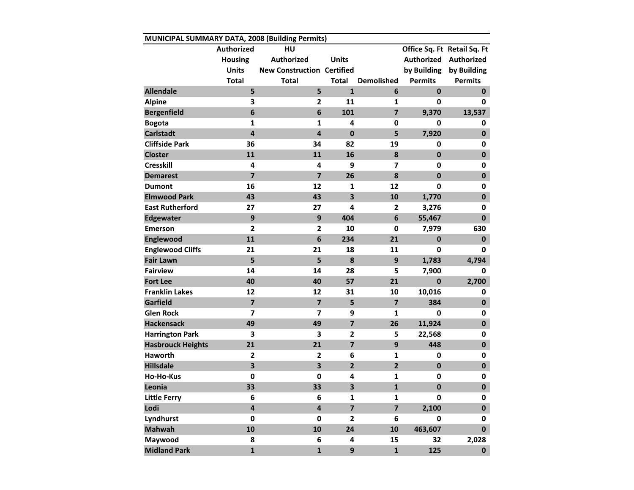| MUNICIPAL SUMMARY DATA, 2008 (Building Permits) |                         |                                   |                         |                         |                |                             |  |  |  |  |
|-------------------------------------------------|-------------------------|-----------------------------------|-------------------------|-------------------------|----------------|-----------------------------|--|--|--|--|
|                                                 | <b>Authorized</b>       | HU                                |                         |                         |                | Office Sq. Ft Retail Sq. Ft |  |  |  |  |
|                                                 | <b>Housing</b>          | <b>Authorized</b>                 | <b>Units</b>            |                         |                | Authorized Authorized       |  |  |  |  |
|                                                 | <b>Units</b>            | <b>New Construction Certified</b> |                         |                         | by Building    | by Building                 |  |  |  |  |
|                                                 | <b>Total</b>            | <b>Total</b>                      | Total                   | <b>Demolished</b>       | <b>Permits</b> | <b>Permits</b>              |  |  |  |  |
| <b>Allendale</b>                                | 5                       | 5                                 | $\mathbf{1}$            | 6                       | $\mathbf{0}$   | $\mathbf 0$                 |  |  |  |  |
| <b>Alpine</b>                                   | 3                       | $\overline{2}$                    | 11                      | 1                       | 0              | 0                           |  |  |  |  |
| <b>Bergenfield</b>                              | 6                       | $6\phantom{1}6$                   | 101                     | $\overline{7}$          | 9,370          | 13,537                      |  |  |  |  |
| <b>Bogota</b>                                   | $\mathbf{1}$            | $\mathbf{1}$                      | 4                       | 0                       | 0              | 0                           |  |  |  |  |
| <b>Carlstadt</b>                                | $\overline{\mathbf{4}}$ | $\overline{4}$                    | $\mathbf 0$             | 5                       | 7,920          | $\mathbf 0$                 |  |  |  |  |
| <b>Cliffside Park</b>                           | 36                      | 34                                | 82                      | 19                      | 0              | 0                           |  |  |  |  |
| <b>Closter</b>                                  | 11                      | 11                                | 16                      | 8                       | $\mathbf{0}$   | $\mathbf 0$                 |  |  |  |  |
| <b>Cresskill</b>                                | 4                       | 4                                 | 9                       | $\overline{\mathbf{z}}$ | 0              | 0                           |  |  |  |  |
| <b>Demarest</b>                                 | $\overline{7}$          | $\overline{7}$                    | 26                      | 8                       | $\mathbf 0$    | $\mathbf 0$                 |  |  |  |  |
| <b>Dumont</b>                                   | 16                      | 12                                | 1                       | 12                      | 0              | 0                           |  |  |  |  |
| <b>Elmwood Park</b>                             | 43                      | 43                                | $\overline{\mathbf{3}}$ | 10                      | 1,770          | $\mathbf 0$                 |  |  |  |  |
| <b>East Rutherford</b>                          | 27                      | 27                                | 4                       | 2                       | 3,276          | 0                           |  |  |  |  |
| <b>Edgewater</b>                                | 9                       | 9                                 | 404                     | 6                       | 55,467         | $\mathbf{0}$                |  |  |  |  |
| <b>Emerson</b>                                  | $\overline{2}$          | $\overline{\mathbf{2}}$           | 10                      | $\mathbf 0$             | 7,979          | 630                         |  |  |  |  |
| Englewood                                       | 11                      | $6\phantom{1}$                    | 234                     | 21                      | $\mathbf 0$    | $\mathbf{0}$                |  |  |  |  |
| <b>Englewood Cliffs</b>                         | 21                      | 21                                | 18                      | 11                      | 0              | 0                           |  |  |  |  |
| <b>Fair Lawn</b>                                | 5                       | 5                                 | 8                       | 9                       | 1,783          | 4,794                       |  |  |  |  |
| <b>Fairview</b>                                 | 14                      | 14                                | 28                      | 5                       | 7,900          | 0                           |  |  |  |  |
| <b>Fort Lee</b>                                 | 40                      | 40                                | 57                      | 21                      | $\mathbf{0}$   | 2,700                       |  |  |  |  |
| <b>Franklin Lakes</b>                           | 12                      | 12                                | 31                      | 10                      | 10,016         | 0                           |  |  |  |  |
| Garfield                                        | $\overline{7}$          | $\overline{\mathbf{z}}$           | 5                       | $\overline{7}$          | 384            | $\mathbf 0$                 |  |  |  |  |
| <b>Glen Rock</b>                                | 7                       | 7                                 | 9                       | 1                       | 0              | 0                           |  |  |  |  |
| <b>Hackensack</b>                               | 49                      | 49                                | $\overline{\mathbf{z}}$ | 26                      | 11,924         | $\mathbf 0$                 |  |  |  |  |
| <b>Harrington Park</b>                          | 3                       | 3                                 | $\mathbf{2}$            | 5                       | 22,568         | 0                           |  |  |  |  |
| <b>Hasbrouck Heights</b>                        | 21                      | 21                                | $\overline{\mathbf{z}}$ | 9                       | 448            | $\mathbf 0$                 |  |  |  |  |
| <b>Haworth</b>                                  | 2                       | $\mathbf{2}$                      | 6                       | 1                       | 0              | 0                           |  |  |  |  |
| <b>Hillsdale</b>                                | $\overline{\mathbf{3}}$ | $\overline{\mathbf{3}}$           | $\overline{2}$          | $\overline{2}$          | $\mathbf{0}$   | $\mathbf 0$                 |  |  |  |  |
| <b>Ho-Ho-Kus</b>                                | $\mathbf 0$             | $\mathbf 0$                       | 4                       | 1                       | 0              | 0                           |  |  |  |  |
| Leonia                                          | 33                      | 33                                | 3                       | $\mathbf{1}$            | $\mathbf 0$    | $\mathbf 0$                 |  |  |  |  |
| <b>Little Ferry</b>                             | 6                       | 6                                 | $\mathbf{1}$            | $\mathbf{1}$            | 0              | 0                           |  |  |  |  |
| Lodi                                            | 4                       | $\overline{\mathbf{4}}$           | $\overline{\mathbf{z}}$ | $\overline{\mathbf{z}}$ | 2,100          | $\pmb{0}$                   |  |  |  |  |
| Lyndhurst                                       | 0                       | 0                                 | $\overline{2}$          | 6                       | 0              | 0                           |  |  |  |  |
| <b>Mahwah</b>                                   | 10                      | 10                                | 24                      | 10                      | 463,607        | $\mathbf 0$                 |  |  |  |  |
| Maywood                                         | 8                       | 6                                 | 4                       | 15                      | 32             | 2,028                       |  |  |  |  |
| <b>Midland Park</b>                             | $\mathbf{1}$            | $\mathbf{1}$                      | $\overline{9}$          | $\mathbf{1}$            | 125            | $\mathbf{0}$                |  |  |  |  |